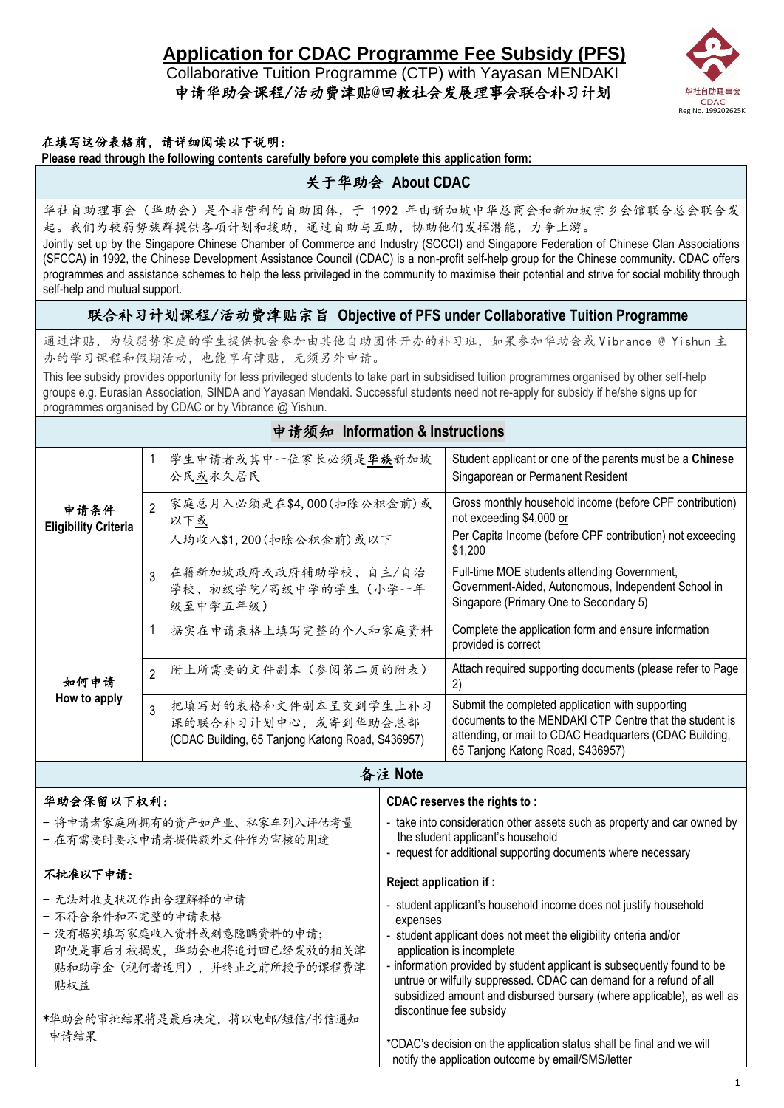# **Application for CDAC Programme Fee Subsidy (PFS)**

 Collaborative Tuition Programme (CTP) with Yayasan MENDAKI 申请华助会课程/活动费津贴@回教社会发展理事会联合补习计划



### 在填写这份表格前,请详细阅读以下说明:

**Please read through the following contents carefully before you complete this application form:**

## 关于华助会 **About CDAC**

华社自助理事会(华助会)是个非营利的自助团体,于 1992 年由新加坡中华总商会和新加坡宗乡会馆联合总会联合发 起。我们为较弱势族群提供各项计划和援助,通过自助与互助,协助他们发挥潜能,力争上游。

Jointly set up by the Singapore Chinese Chamber of Commerce and Industry (SCCCI) and Singapore Federation of Chinese Clan Associations (SFCCA) in 1992, the Chinese Development Assistance Council (CDAC) is a non-profit self-help group for the Chinese community. CDAC offers programmes and assistance schemes to help the less privileged in the community to maximise their potential and strive for social mobility through self-help and mutual support.

### 联合补习计划课程/活动费津贴宗旨 **Objective of PFS under Collaborative Tuition Programme**

通过津贴,为较弱势家庭的学生提供机会参加由其他自助团体开办的补习班,如果参加华助会或 Vibrance @ Yishun 主 办的学习课程和假期活动, 也能享有津贴, 无须另外申请。

This fee subsidy provides opportunity for less privileged students to take part in subsidised tuition programmes organised by other self-help groups e.g. Eurasian Association, SINDA and Yayasan Mendaki. Successful students need not re-apply for subsidy if he/she signs up for programmes organised by CDAC or by Vibrance @ Yishun.

#### 申请须知 **Information & Instructions** 1 学生申请者或其中一位家长必须是华族新加坡 公民或永久居民 Student applicant or one of the parents must be a **Chinese** Singaporean or Permanent Resident 申请条件 **Eligibility Criteria** 2 家庭总月入必须是在\$4,000(扣除公积金前)或 以下或 人均收入\$1,200(扣除公积金前)或以下 Gross monthly household income (before CPF contribution) not exceeding \$4,000 or Per Capita Income (before CPF contribution) not exceeding \$1,200 3 在籍新加坡政府或政府辅助学校、自主/自治 学校、初级学院/高级中学的学生(小学一年 级至中学五年级) Full-time MOE students attending Government, Government-Aided, Autonomous, Independent School in Singapore (Primary One to Secondary 5) 如何申请 **How to apply** 1 | 据实在申请表格上填写完整的个人和家庭资料 | Complete the application form and ensure information provided is correct 2 | 附上所需要的文件副本(参阅第二页的附表) | Attach required supporting documents (please refer to Page 2) 3 把填写好的表格和文件副本呈交到学生上补习 课的联合补习计划中心,或寄到华助会总部 (CDAC Building, 65 Tanjong Katong Road, S436957) Submit the completed application with supporting documents to the MENDAKI CTP Centre that the student is attending, or mail to CDAC Headquarters (CDAC Building, 65 Tanjong Katong Road, S436957)

备注 **Note**

| 华助会保留以下权利:                                                                                                                               | CDAC reserves the rights to:                                                                                                                                                                                                                                                                                                                                                                               |
|------------------------------------------------------------------------------------------------------------------------------------------|------------------------------------------------------------------------------------------------------------------------------------------------------------------------------------------------------------------------------------------------------------------------------------------------------------------------------------------------------------------------------------------------------------|
| - 将申请者家庭所拥有的资产如产业、私家车列入评估考量<br>- 在有需要时要求申请者提供额外文件作为审核的用途                                                                                 | - take into consideration other assets such as property and car owned by<br>the student applicant's household<br>- request for additional supporting documents where necessary                                                                                                                                                                                                                             |
| 不批准以下申请:                                                                                                                                 | Reject application if:                                                                                                                                                                                                                                                                                                                                                                                     |
| - 无法对收支状况作出合理解释的申请<br>- 不符合条件和不完整的申请表格<br>- 没有据实填写家庭收入资料或刻意隐瞒资料的申请;<br>即使是事后才被揭发, 华助会也将追讨回已经发放的相关津<br>贴和助学金(视何者适用), 并终止之前所授予的课程费津<br>贴权益 | - student applicant's household income does not justify household<br>expenses<br>- student applicant does not meet the eligibility criteria and/or<br>application is incomplete<br>- information provided by student applicant is subsequently found to be<br>untrue or wilfully suppressed. CDAC can demand for a refund of all<br>subsidized amount and disbursed bursary (where applicable), as well as |
| *华助会的审批结果将是最后决定, 将以电邮/短信/书信通知<br>申请结果                                                                                                    | discontinue fee subsidy<br>*CDAC's decision on the application status shall be final and we will<br>notify the application outcome by email/SMS/letter                                                                                                                                                                                                                                                     |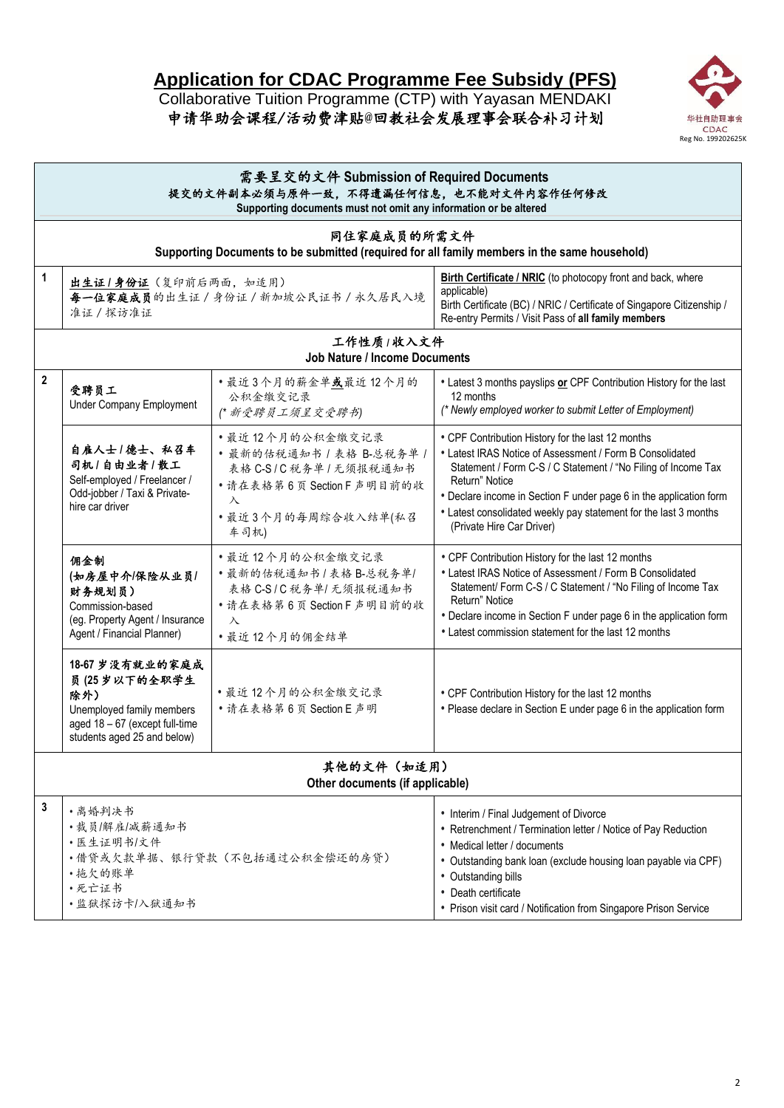# **Application for CDAC Programme Fee Subsidy (PFS)**

Collaborative Tuition Programme (CTP) with Yayasan MENDAKI 申请华助会课程/活动费津贴@回教社会发展理事会联合补习计划



|                | 需要呈交的文件 Submission of Required Documents<br>提交的文件副本必须与原件一致,不得遗漏任何信息,也不能对文件内容作任何修改<br>Supporting documents must not omit any information or be altered |                                                                                                                                                |                                                                                                                                                                                                                                                                                                                                                                         |  |  |  |
|----------------|-------------------------------------------------------------------------------------------------------------------------------------------------------|------------------------------------------------------------------------------------------------------------------------------------------------|-------------------------------------------------------------------------------------------------------------------------------------------------------------------------------------------------------------------------------------------------------------------------------------------------------------------------------------------------------------------------|--|--|--|
|                |                                                                                                                                                       | 同住家庭成员的所需文件<br>Supporting Documents to be submitted (required for all family members in the same household)                                    |                                                                                                                                                                                                                                                                                                                                                                         |  |  |  |
| 1              | 出生证1身份证(复印前后两面,如适用)<br>准证 / 探访准证                                                                                                                      | 每一位家庭成员的出生证 / 身份证 / 新加坡公民证书 / 永久居民入境                                                                                                           | Birth Certificate / NRIC (to photocopy front and back, where<br>applicable)<br>Birth Certificate (BC) / NRIC / Certificate of Singapore Citizenship /<br>Re-entry Permits / Visit Pass of all family members                                                                                                                                                            |  |  |  |
|                |                                                                                                                                                       | 工作性质/收入文件<br><b>Job Nature / Income Documents</b>                                                                                              |                                                                                                                                                                                                                                                                                                                                                                         |  |  |  |
| $\overline{2}$ | 受聘员工<br><b>Under Company Employment</b>                                                                                                               | ·最近3个月的薪金单或最近12个月的<br>公积金缴交记录<br>(* 新受聘员工须呈交受聘书)                                                                                               | • Latest 3 months payslips or CPF Contribution History for the last<br>12 months<br>(* Newly employed worker to submit Letter of Employment)                                                                                                                                                                                                                            |  |  |  |
|                | 自雇人士/德士、私召车<br>司机/自由业者/散工<br>Self-employed / Freelancer /<br>Odd-jobber / Taxi & Private-<br>hire car driver                                          | • 最近12个月的公积金缴交记录<br>· 最新的估税通知书 / 表格 B-总税务单 /<br>表格 C-S/C 税务单/无须报税通知书<br>• 请在表格第6页 Section F 声明目前的收<br>$\lambda$<br>• 最近3个月的每周综合收入结单(私召<br>车司机) | • CPF Contribution History for the last 12 months<br>• Latest IRAS Notice of Assessment / Form B Consolidated<br>Statement / Form C-S / C Statement / "No Filing of Income Tax<br>Return" Notice<br>• Declare income in Section F under page 6 in the application form<br>• Latest consolidated weekly pay statement for the last 3 months<br>(Private Hire Car Driver) |  |  |  |
|                | 佣金制<br>(如房屋中介/保险从业员/<br>财务规划员)<br>Commission-based<br>(eg. Property Agent / Insurance<br>Agent / Financial Planner)                                   | • 最近12个月的公积金缴交记录<br>· 最新的估税通知书 / 表格 B-总税务单/<br>表格 C-S/C 税务单/ 无须报税通知书<br>•请在表格第6页 Section F 声明目前的收<br>$\lambda$<br>• 最近12个月的佣金结单                | • CPF Contribution History for the last 12 months<br>• Latest IRAS Notice of Assessment / Form B Consolidated<br>Statement/ Form C-S / C Statement / "No Filing of Income Tax<br>Return" Notice<br>• Declare income in Section F under page 6 in the application form<br>• Latest commission statement for the last 12 months                                           |  |  |  |
|                | 18-67 岁没有就业的家庭成<br>员(25岁以下的全职学生<br>除外)<br>Unemployed family members<br>aged 18 - 67 (except full-time<br>students aged 25 and below)                  | • 最近12个月的公积金缴交记录<br>•请在表格第6页 Section E 声明                                                                                                      | • CPF Contribution History for the last 12 months<br>• Please declare in Section E under page 6 in the application form                                                                                                                                                                                                                                                 |  |  |  |
|                | 其他的文件(如适用)<br>Other documents (if applicable)                                                                                                         |                                                                                                                                                |                                                                                                                                                                                                                                                                                                                                                                         |  |  |  |
| 3              | • 离婚判决书<br>•裁员/解雇/减薪通知书<br>• 医生证明书/文件<br>• 拖欠的账单<br>•死亡证书<br>•监狱探访卡/入狱通知书                                                                             | •借贷或欠款单据、银行贷款(不包括通过公积金偿还的房贷)                                                                                                                   | • Interim / Final Judgement of Divorce<br>• Retrenchment / Termination letter / Notice of Pay Reduction<br>• Medical letter / documents<br>• Outstanding bank loan (exclude housing loan payable via CPF)<br>• Outstanding bills<br>• Death certificate<br>• Prison visit card / Notification from Singapore Prison Service                                             |  |  |  |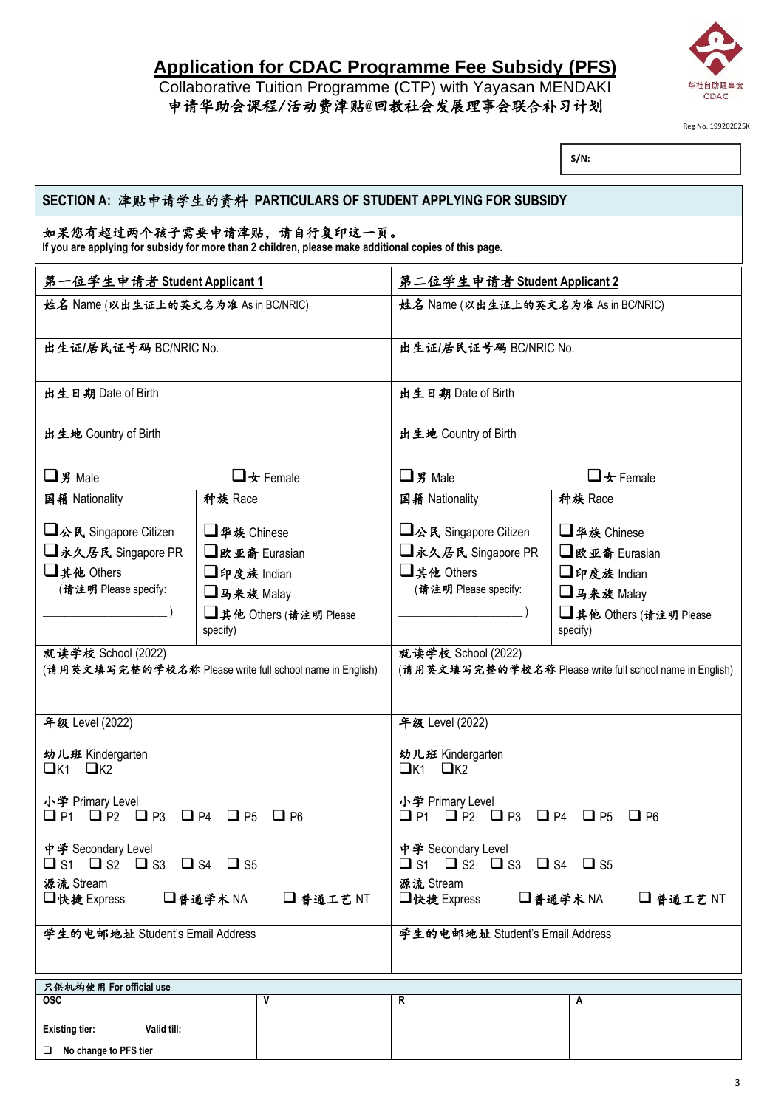## **Application for CDAC Programme Fee Subsidy (PFS)**

### Collaborative Tuition Programme (CTP) with Yayasan MENDAKI 申请华助会课程/活动费津贴@回教社会发展理事会联合补习计划



Reg No. 199202625K

**S/N:**

| SECTION A: 津贴申请学生的资料 PARTICULARS OF STUDENT APPLYING FOR SUBSIDY                                                                    |                                                          |                                                                                 |                                    |  |  |  |
|-------------------------------------------------------------------------------------------------------------------------------------|----------------------------------------------------------|---------------------------------------------------------------------------------|------------------------------------|--|--|--|
| 如果您有超过两个孩子需要申请津贴,请自行复印这一页。<br>If you are applying for subsidy for more than 2 children, please make additional copies of this page. |                                                          |                                                                                 |                                    |  |  |  |
| 第一位学生申请者 Student Applicant 1                                                                                                        |                                                          | 第二位学生申请者 Student Applicant 2                                                    |                                    |  |  |  |
| 姓名 Name (以出生证上的英文名为准 As in BC/NRIC)                                                                                                 |                                                          | 姓名 Name (以出生证上的英文名为准 As in BC/NRIC)                                             |                                    |  |  |  |
| 出生证/居民证号码 BC/NRIC No.                                                                                                               |                                                          | 出生证/居民证号码 BC/NRIC No.                                                           |                                    |  |  |  |
| 出生日期 Date of Birth                                                                                                                  |                                                          | 出生日期 Date of Birth                                                              |                                    |  |  |  |
| 出生地 Country of Birth                                                                                                                |                                                          | 出生地 Country of Birth                                                            |                                    |  |  |  |
| $\Box$ 男 Male                                                                                                                       | $\Box$ of Female                                         | $\Box$ 男 Male                                                                   | $\Box$ $\star$ Female              |  |  |  |
| 国籍 Nationality                                                                                                                      | 种族 Race                                                  | 国籍 Nationality                                                                  | 种族 Race                            |  |  |  |
| □公氏 Singapore Citizen                                                                                                               | □华族 Chinese                                              | □公民 Singapore Citizen                                                           | □华族 Chinese                        |  |  |  |
| □永久居民 Singapore PR                                                                                                                  | □欧亚裔 Eurasian                                            | □永久居民 Singapore PR                                                              | □欧亚裔 Eurasian                      |  |  |  |
| □其他 Others                                                                                                                          | □印度族 Indian                                              | □其他 Others                                                                      | □印度族 Indian                        |  |  |  |
| (请注明 Please specify:                                                                                                                | □马来族 Malay                                               | (请注明 Please specify:<br>□马来族 Malay                                              |                                    |  |  |  |
|                                                                                                                                     | □其他 Others (请注明 Please<br>specify)                       |                                                                                 | □其他 Others (请注明 Please<br>specify) |  |  |  |
| 就读学校 School (2022)                                                                                                                  | (请用英文填写完整的学校名称 Please write full school name in English) | 就读学校 School (2022)<br>(请用英文填写完整的学校名称 Please write full school name in English)  |                                    |  |  |  |
| 年级 Level (2022)                                                                                                                     |                                                          | 年级 Level (2022)                                                                 |                                    |  |  |  |
| 幼儿班 Kindergarten<br>$\Box$ K1<br>$\Box$ K2                                                                                          |                                                          | 幼儿班 Kindergarten<br>$QK1$ $QK2$                                                 |                                    |  |  |  |
| 小学 Primary Level<br>$\Box$ P1 $\Box$ P2 $\Box$ P3 $\Box$ P4 $\Box$ P5 $\Box$ P6                                                     |                                                          | 小学 Primary Level<br>$\Box$ P1 $\Box$ P2 $\Box$ P3 $\Box$ P4 $\Box$ P5 $\Box$ P6 |                                    |  |  |  |
| 中学 Secondary Level<br>$\Box$ S1 $\Box$ S2 $\Box$ S3 $\Box$ S4 $\Box$ S5                                                             |                                                          | 中学 Secondary Level<br>$\Box$ S1 $\Box$ S2 $\Box$ S3 $\Box$ S4 $\Box$ S5         |                                    |  |  |  |
| 源流 Stream<br>□快捷 Express                                                                                                            | □普通学术NA<br>□普通工艺NT                                       | 源流 Stream<br>□普通学术NA<br>□快捷 Express<br>□普通工艺 NT                                 |                                    |  |  |  |
| 学生的电邮地址 Student's Email Address                                                                                                     |                                                          | 学生的电邮地址 Student's Email Address                                                 |                                    |  |  |  |
| 只供机构使用 For official use                                                                                                             |                                                          |                                                                                 |                                    |  |  |  |
| $\overline{osc}$                                                                                                                    | V                                                        | R                                                                               | A                                  |  |  |  |
| <b>Existing tier:</b><br>Valid till:                                                                                                |                                                          |                                                                                 |                                    |  |  |  |
| No change to PFS tier                                                                                                               |                                                          |                                                                                 |                                    |  |  |  |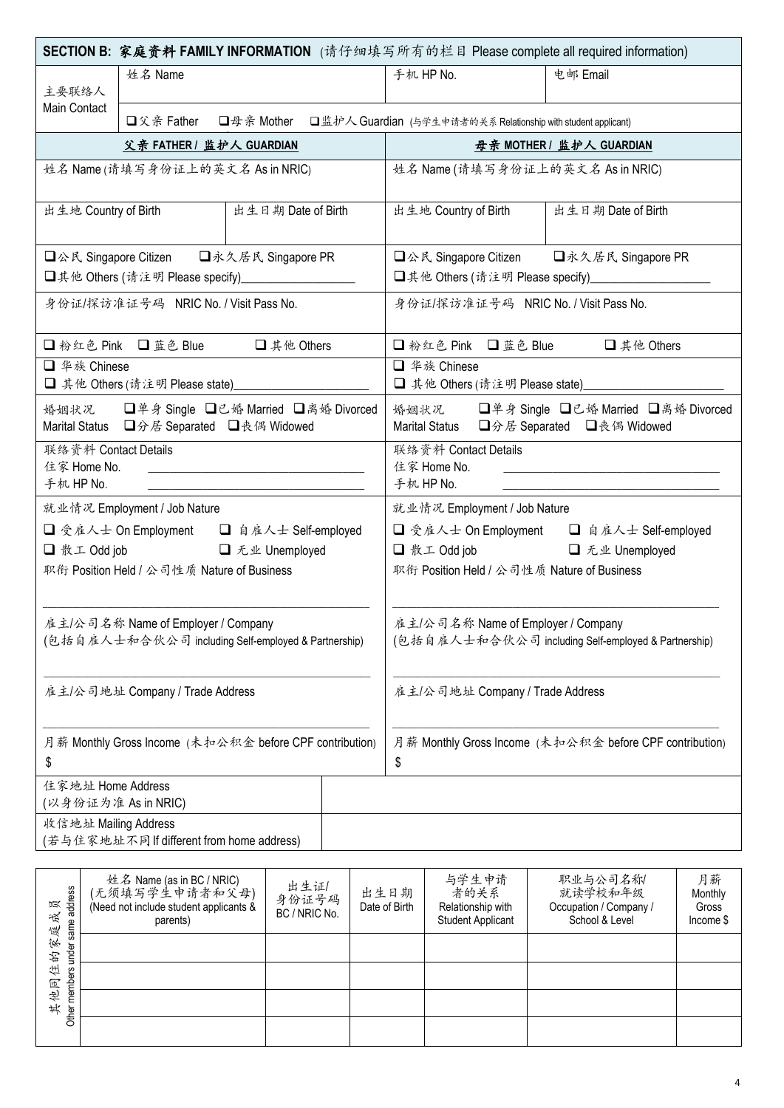| <b>SECTION B: 家庭资料 FAMILY INFORMATION</b> (请仔细填写所有的栏目 Please complete all required information) |                                                                  |                                                                            |  |                                                                                           |                                                                                                |                                |                                                                                              |               |  |
|-------------------------------------------------------------------------------------------------|------------------------------------------------------------------|----------------------------------------------------------------------------|--|-------------------------------------------------------------------------------------------|------------------------------------------------------------------------------------------------|--------------------------------|----------------------------------------------------------------------------------------------|---------------|--|
| 主要联络人                                                                                           | 姓名 Name                                                          |                                                                            |  |                                                                                           | 电邮 Email<br>手机 HP No.                                                                          |                                |                                                                                              |               |  |
| Main Contact                                                                                    | □父亲 Father                                                       | □母亲 Mother □监护人 Guardian (与学生申请者的关系 Relationship with student applicant)   |  |                                                                                           |                                                                                                |                                |                                                                                              |               |  |
|                                                                                                 | 父亲 FATHER / 监护人 GUARDIAN                                         |                                                                            |  |                                                                                           |                                                                                                |                                | 母亲 MOTHER / 监护人 GUARDIAN                                                                     |               |  |
|                                                                                                 | 姓名 Name (请填写身份证上的英文名 As in NRIC)                                 |                                                                            |  |                                                                                           |                                                                                                |                                | 姓名 Name (请填写身份证上的英文名 As in NRIC)                                                             |               |  |
| 出生地 Country of Birth                                                                            |                                                                  | 出生日期 Date of Birth                                                         |  |                                                                                           | 出生地 Country of Birth                                                                           |                                | 出生日期 Date of Birth                                                                           |               |  |
|                                                                                                 |                                                                  | □公民 Singapore Citizen □永久居民 Singapore PR                                   |  |                                                                                           |                                                                                                |                                | □公民 Singapore Citizen □永久居民 Singapore PR<br>□其他 Others (请注明 Please specify)_________________ |               |  |
|                                                                                                 | 身份证/探访准证号码 NRIC No. / Visit Pass No.                             |                                                                            |  |                                                                                           |                                                                                                |                                | 身份证/探访准证号码 NRIC No. / Visit Pass No.                                                         |               |  |
|                                                                                                 |                                                                  | □粉红色 Pink □蓝色 Blue □其他 Others                                              |  |                                                                                           |                                                                                                |                                | □粉红色 Pink □蓝色 Blue □其他 Others                                                                |               |  |
| □ 华族 Chinese                                                                                    | □ 其他 Others (请注明 Please state)________________                   |                                                                            |  |                                                                                           | □ 华族 Chinese                                                                                   | □ 其他 Others (请注明 Please state) |                                                                                              |               |  |
|                                                                                                 | Marital Status 口分居 Separated 口丧偶 Widowed                         | 婚姻状况 □单身 Single □已婚 Married □离婚 Divorced                                   |  |                                                                                           | 婚姻状况 □单身 Single □已婚 Married □离婚 Divorced<br><b>Marital Status</b><br>□分居 Separated □丧偶 Widowed |                                |                                                                                              |               |  |
| 联络资料 Contact Details<br>住家 Home No.<br>手机 HP No.                                                |                                                                  | the control of the control of the control of the control of the control of |  | 联络资料 Contact Details<br>住家 Home No.<br>手机 HP No.                                          |                                                                                                |                                |                                                                                              |               |  |
|                                                                                                 | 就业情况 Employment / Job Nature                                     |                                                                            |  | 就业情况 Employment / Job Nature                                                              |                                                                                                |                                |                                                                                              |               |  |
|                                                                                                 |                                                                  | □ 受雇人士 On Employment □ 自雇人士 Self-employed                                  |  | □ 受雇人士 On Employment □ 自雇人士 Self-employed                                                 |                                                                                                |                                |                                                                                              |               |  |
|                                                                                                 | □ 散工 Odd job □ 无业 Unemployed                                     |                                                                            |  | □ 散工 Odd job □ 无业 Unemployed                                                              |                                                                                                |                                |                                                                                              |               |  |
|                                                                                                 | 职衔 Position Held / 公司性质 Nature of Business                       |                                                                            |  |                                                                                           |                                                                                                |                                | 职衔 Position Held / 公司性质 Nature of Business                                                   |               |  |
|                                                                                                 | 雇主/公司名称 Name of Employer / Company                               | (包括自雇人士和合伙公司 including Self-employed & Partnership)                        |  | 雇主/公司名称 Name of Employer / Company<br>(包括自雇人士和合伙公司 including Self-employed & Partnership) |                                                                                                |                                |                                                                                              |               |  |
| 雇主/公司地址 Company / Trade Address                                                                 |                                                                  |                                                                            |  |                                                                                           | 雇主/公司地址 Company / Trade Address                                                                |                                |                                                                                              |               |  |
| 月薪 Monthly Gross Income (未扣公积金 before CPF contribution)<br>\$                                   |                                                                  |                                                                            |  |                                                                                           | 月薪 Monthly Gross Income (未扣公积金 before CPF contribution)<br>\$                                  |                                |                                                                                              |               |  |
| 住家地址 Home Address<br>(以身份证为准 As in NRIC)                                                        |                                                                  |                                                                            |  |                                                                                           |                                                                                                |                                |                                                                                              |               |  |
|                                                                                                 | 收信地址 Mailing Address<br>(若与住家地址不同If different from home address) |                                                                            |  |                                                                                           |                                                                                                |                                |                                                                                              |               |  |
| ess                                                                                             | 姓名 Name (as in BC / NRIC)<br>(无须填写学生申请者和父母)                      | 出生证/<br>身份证号码                                                              |  | 出生日期                                                                                      | 与学生申请<br>者的关系                                                                                  |                                | 职业与公司名称<br>就读学校和年级                                                                           | 月薪<br>Monthly |  |

| address<br>员<br>成<br>same<br>庭 | 姓名 Name (as in BC / NRIC)<br>(无须填写学生申请者和父母)<br>(Need not include student applicants &<br>parents) | 出生证/<br>身份证号码<br>BC / NRIC No. | 出生日期<br>Date of Birth | 与字 王 甲 3<br>者的关系<br>Relationship with<br><b>Student Applicant</b> | 挑业与公可名称<br>就读学校和年级<br>Occupation / Company /<br>School & Level | 月新<br>Monthly<br>Gross<br>Income \$ |
|--------------------------------|---------------------------------------------------------------------------------------------------|--------------------------------|-----------------------|-------------------------------------------------------------------|----------------------------------------------------------------|-------------------------------------|
| 突<br>under<br>珆                |                                                                                                   |                                |                       |                                                                   |                                                                |                                     |
| 住<br>叵                         |                                                                                                   |                                |                       |                                                                   |                                                                |                                     |
| Other members<br>奇<br>其        |                                                                                                   |                                |                       |                                                                   |                                                                |                                     |
|                                |                                                                                                   |                                |                       |                                                                   |                                                                |                                     |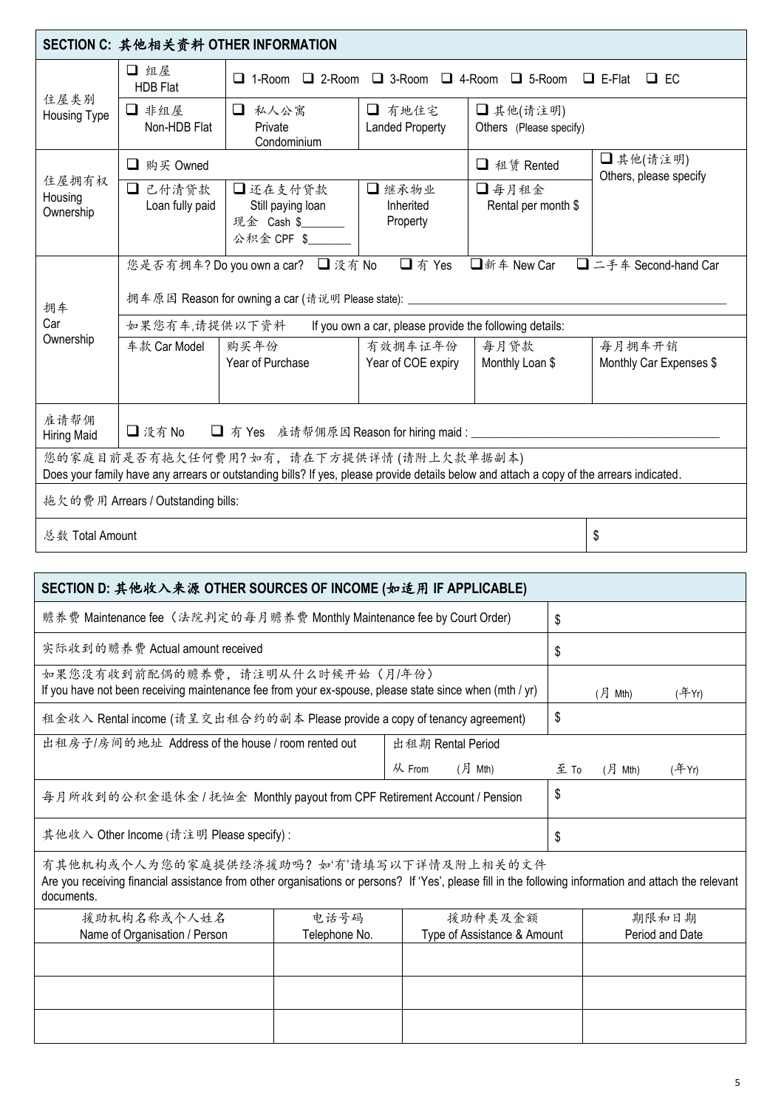| SECTION C: 其他相关资料 OTHER INFORMATION                           |                                                                               |                                                                                                                                                                                    |                                  |                                     |  |                                    |  |  |
|---------------------------------------------------------------|-------------------------------------------------------------------------------|------------------------------------------------------------------------------------------------------------------------------------------------------------------------------------|----------------------------------|-------------------------------------|--|------------------------------------|--|--|
|                                                               | □ 组屋<br><b>HDB Flat</b>                                                       | $\Box$ 1-Room $\Box$ 2-Room $\Box$ 3-Room $\Box$ 4-Room $\Box$ 5-Room<br>$\Box$ E-Flat $\Box$ EC                                                                                   |                                  |                                     |  |                                    |  |  |
| 住屋类别<br>Housing Type                                          | □ 非组屋<br>Non-HDB Flat                                                         | □ 私人公寓<br>Private<br>Condominium                                                                                                                                                   | □ 有地住宅<br><b>Landed Property</b> | □其他(请注明)<br>Others (Please specify) |  |                                    |  |  |
|                                                               | □ 购买 Owned                                                                    |                                                                                                                                                                                    |                                  | □ 租赁 Rented                         |  | □其他(请注明)<br>Others, please specify |  |  |
| 住屋拥有权<br>Housing<br>Ownership                                 | □ 已付清贷款<br>Loan fully paid                                                    | □还在支付贷款<br>Still paying loan<br>现金 Cash \$______<br>公积金 CPF \$                                                                                                                     | □继承物业<br>Inherited<br>Property   | □每月租金<br>Rental per month \$        |  |                                    |  |  |
|                                                               |                                                                               | 您是否有拥车? Do you own a car? □ 没有 No                                                                                                                                                  | □ 有 Yes                          | □新车 New Car                         |  | □ 二手车 Second-hand Car              |  |  |
| 拥车                                                            | 拥车原因 Reason for owning a car (请说明 Please state): ___________                  |                                                                                                                                                                                    |                                  |                                     |  |                                    |  |  |
| Car                                                           | 如果您有车,请提供以下资料<br>If you own a car, please provide the following details:      |                                                                                                                                                                                    |                                  |                                     |  |                                    |  |  |
| Ownership                                                     | 车款 Car Model                                                                  | 有效拥车证年份<br>购买年份<br>Year of Purchase<br>Year of COE expiry                                                                                                                          |                                  | 每月贷款<br>Monthly Loan \$             |  | 每月拥车开销<br>Monthly Car Expenses \$  |  |  |
| 雇请帮佣<br><b>Hiring Maid</b>                                    | □没有No                                                                         | □ 有 Yes 雇请帮佣原因 Reason for hiring maid : ____________________                                                                                                                       |                                  |                                     |  |                                    |  |  |
|                                                               |                                                                               | 您的家庭目前是否有拖欠任何费用?如有,请在下方提供详情(请附上欠款单据副本)<br>Does your family have any arrears or outstanding bills? If yes, please provide details below and attach a copy of the arrears indicated. |                                  |                                     |  |                                    |  |  |
|                                                               | 拖欠的费用 Arrears / Outstanding bills:                                            |                                                                                                                                                                                    |                                  |                                     |  |                                    |  |  |
| 总数 Total Amount<br>\$                                         |                                                                               |                                                                                                                                                                                    |                                  |                                     |  |                                    |  |  |
|                                                               |                                                                               |                                                                                                                                                                                    |                                  |                                     |  |                                    |  |  |
| SECTION D: 其他收入来源 OTHER SOURCES OF INCOME (如适用 IF APPLICABLE) |                                                                               |                                                                                                                                                                                    |                                  |                                     |  |                                    |  |  |
|                                                               | 赡养费 Maintenance fee (法院判定的每月赡养费 Monthly Maintenance fee by Court Order)<br>\$ |                                                                                                                                                                                    |                                  |                                     |  |                                    |  |  |
|                                                               | 实际收到的赡养费 Actual amount received<br>\$                                         |                                                                                                                                                                                    |                                  |                                     |  |                                    |  |  |
| 如果您没有收到前配偶的赡养费,请注明从什么时候开始(月/年份)                               |                                                                               |                                                                                                                                                                                    |                                  |                                     |  |                                    |  |  |

| 实际收到的赡养费 Actual amount received                                                                                                                                                                                   | \$                                             |                         |          |            |          |
|-------------------------------------------------------------------------------------------------------------------------------------------------------------------------------------------------------------------|------------------------------------------------|-------------------------|----------|------------|----------|
| 如果您没有收到前配偶的赡养费,请注明从什么时候开始(月/年份)<br>If you have not been receiving maintenance fee from your ex-spouse, please state since when (mth / yr)                                                                         |                                                | $($ 月 Mth)              | $(*FYr)$ |            |          |
| 租金收入 Rental income (请呈交出租合约的副本 Please provide a copy of tenancy agreement)                                                                                                                                        |                                                |                         | \$       |            |          |
| 出租房子/房间的地址 Address of the house / room rented out                                                                                                                                                                 |                                                | 出租期 Rental Period       |          |            |          |
|                                                                                                                                                                                                                   |                                                | $($ 月 Mth $)$<br>从 From | 至 To     | $($ 月 Mth) | $(*FYr)$ |
| 每月所收到的公积金退休金 / 抚恤金 Monthly payout from CPF Retirement Account / Pension                                                                                                                                           |                                                | \$                      |          |            |          |
| 其他收入 Other Income (请注明 Please specify):                                                                                                                                                                           |                                                |                         | \$       |            |          |
| 有其他机构或个人为您的家庭提供经济援助吗? 如'有'请填写以下详情及附上相关的文件<br>Are you receiving financial assistance from other organisations or persons? If 'Yes', please fill in the following information and attach the relevant<br>documents. |                                                |                         |          |            |          |
| 援助机构名称或个人姓名                                                                                                                                                                                                       | 电话号码                                           | 援助种类及金额                 |          |            | 期限和日期    |
| Name of Organisation / Person                                                                                                                                                                                     | Type of Assistance & Amount<br>Period and Date |                         |          |            |          |
|                                                                                                                                                                                                                   |                                                |                         |          |            |          |
|                                                                                                                                                                                                                   |                                                |                         |          |            |          |
|                                                                                                                                                                                                                   |                                                |                         |          |            |          |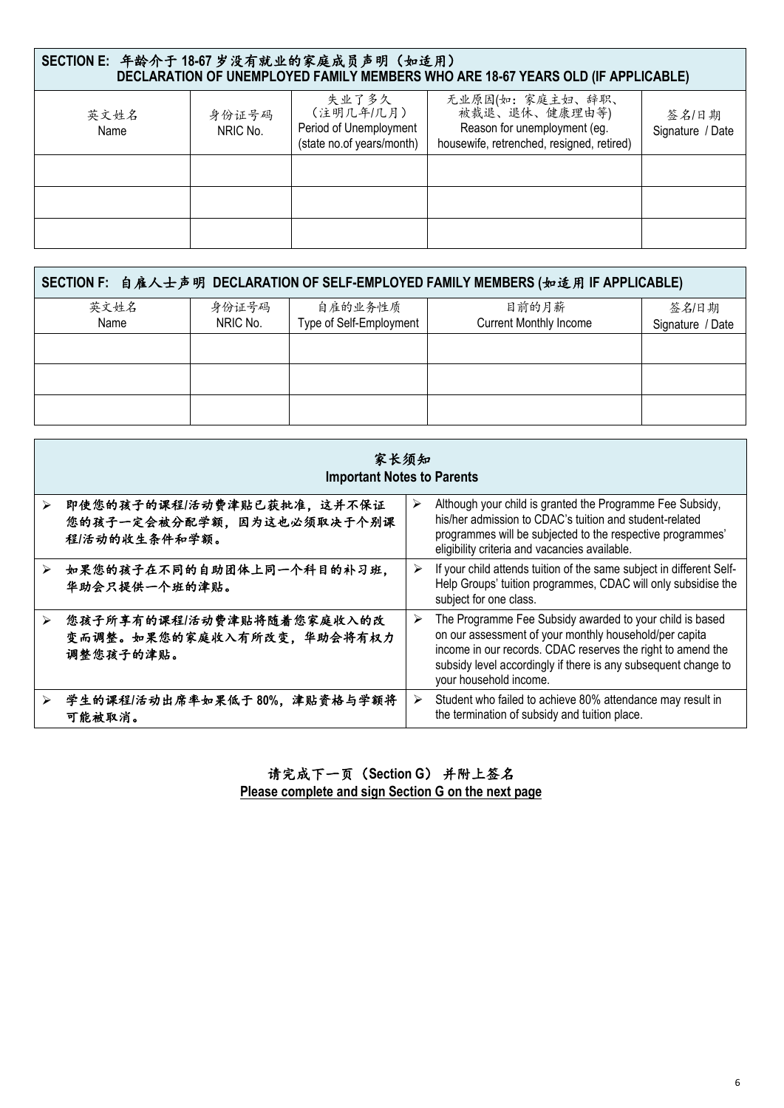| SECTION E: 年龄介于 18-67 岁没有就业的家庭成员声明(如适用)<br>DECLARATION OF UNEMPLOYED FAMILY MEMBERS WHO ARE 18-67 YEARS OLD (IF APPLICABLE) |                   |                                                                           |                                                                                                               |                           |  |  |  |  |
|-----------------------------------------------------------------------------------------------------------------------------|-------------------|---------------------------------------------------------------------------|---------------------------------------------------------------------------------------------------------------|---------------------------|--|--|--|--|
| 英文姓名<br>Name                                                                                                                | 身份证号码<br>NRIC No. | 失业了多久<br>(注明几年/几月)<br>Period of Unemployment<br>(state no.of years/month) | 无业原因(如:家庭主妇、辞职、<br>被裁退、退休、健康理由等)<br>Reason for unemployment (eg.<br>housewife, retrenched, resigned, retired) | 签名/日期<br>Signature / Date |  |  |  |  |
|                                                                                                                             |                   |                                                                           |                                                                                                               |                           |  |  |  |  |
|                                                                                                                             |                   |                                                                           |                                                                                                               |                           |  |  |  |  |
|                                                                                                                             |                   |                                                                           |                                                                                                               |                           |  |  |  |  |

| SECTION F: 自雇人士声明 DECLARATION OF SELF-EMPLOYED FAMILY MEMBERS (如适用 IF APPLICABLE) |          |                         |                               |                  |  |  |  |  |
|-----------------------------------------------------------------------------------|----------|-------------------------|-------------------------------|------------------|--|--|--|--|
| 英文姓名                                                                              | 身份证号码    | 自雇的业务性质                 | 目前的月薪                         | 签名/日期            |  |  |  |  |
| Name                                                                              | NRIC No. | Type of Self-Employment | <b>Current Monthly Income</b> | Signature / Date |  |  |  |  |
|                                                                                   |          |                         |                               |                  |  |  |  |  |
|                                                                                   |          |                         |                               |                  |  |  |  |  |
|                                                                                   |          |                         |                               |                  |  |  |  |  |

|   | 家长须知<br><b>Important Notes to Parents</b>                               |   |                                                                                                                                                                                                                                                                               |  |  |  |  |
|---|-------------------------------------------------------------------------|---|-------------------------------------------------------------------------------------------------------------------------------------------------------------------------------------------------------------------------------------------------------------------------------|--|--|--|--|
| ↘ | 即使您的孩子的课程/活动费津贴已获批准,这并不保证<br>您的孩子一定会被分配学额,因为这也必须取决于个别课<br>程/活动的收生条件和学额。 | ≻ | Although your child is granted the Programme Fee Subsidy,<br>his/her admission to CDAC's tuition and student-related<br>programmes will be subjected to the respective programmes'<br>eligibility criteria and vacancies available.                                           |  |  |  |  |
|   | 如果您的孩子在不同的自助团体上同一个科目的补习班,<br>华助会只提供一个班的津贴。                              | ➤ | If your child attends tuition of the same subject in different Self-<br>Help Groups' tuition programmes, CDAC will only subsidise the<br>subject for one class.                                                                                                               |  |  |  |  |
| ⋗ | 您孩子所享有的课程/活动费津贴将随着您家庭收入的改<br>变而调整。如果您的家庭收入有所改变, 华助会将有权力<br>调整您孩子的津贴。    | ➤ | The Programme Fee Subsidy awarded to your child is based<br>on our assessment of your monthly household/per capita<br>income in our records. CDAC reserves the right to amend the<br>subsidy level accordingly if there is any subsequent change to<br>your household income. |  |  |  |  |
|   | 学生的课程/活动出席率如果低于80%,津贴资格与学额将<br>可能被取消。                                   | ➤ | Student who failed to achieve 80% attendance may result in<br>the termination of subsidy and tuition place.                                                                                                                                                                   |  |  |  |  |

请完成下一页(**Section G**) 并附上签名 **Please complete and sign Section G on the next page**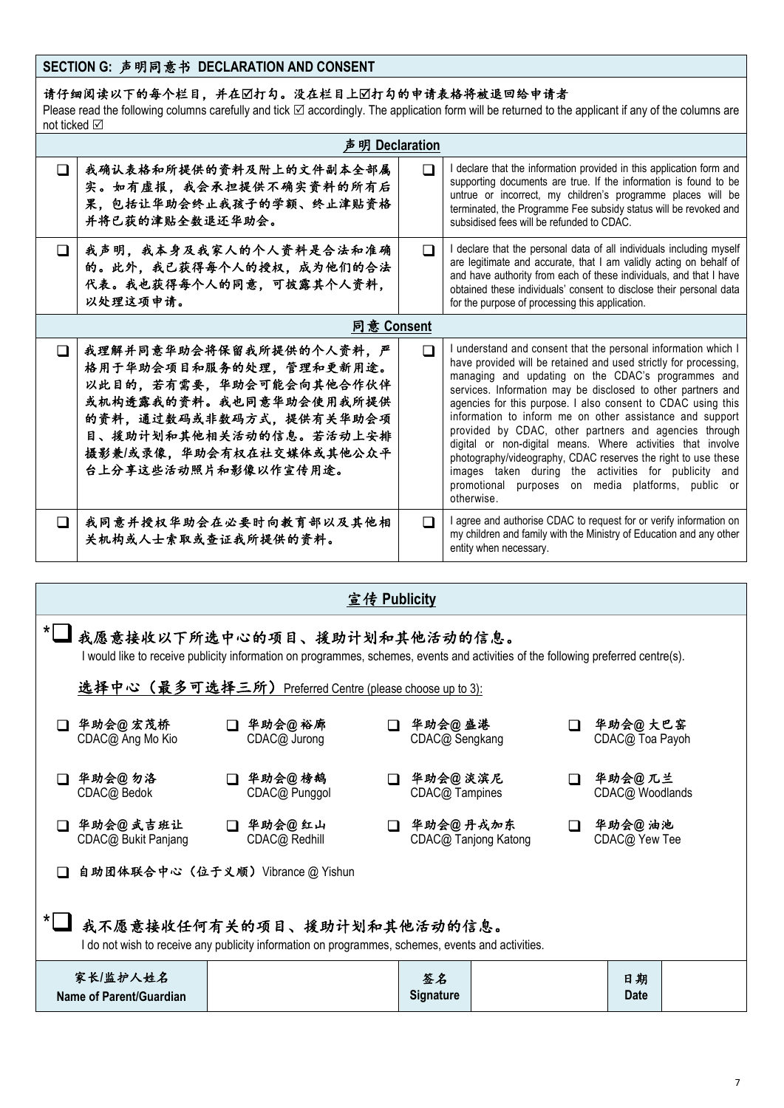## **SECTION G:** 声明同意书 **DECLARATION AND CONSENT**

请仔细阅读以下的每个栏目,并在打勾。没在栏目上打勾的申请表格将被退回给申请者

Please read the following columns carefully and tick  $\boxtimes$  accordingly. The application form will be returned to the applicant if any of the columns are not ticked ⊠

|        | 明 Declaration                                                                                                                                                                                                       |   |                                                                                                                                                                                                                                                                                                                                                                                                                                                                                                                                                                                                                                                                                                          |  |  |  |  |  |
|--------|---------------------------------------------------------------------------------------------------------------------------------------------------------------------------------------------------------------------|---|----------------------------------------------------------------------------------------------------------------------------------------------------------------------------------------------------------------------------------------------------------------------------------------------------------------------------------------------------------------------------------------------------------------------------------------------------------------------------------------------------------------------------------------------------------------------------------------------------------------------------------------------------------------------------------------------------------|--|--|--|--|--|
| П      | 我确认表格和所提供的资料及附上的文件副本全部属<br>实。如有虚报,我会承担提供不确实资料的所有后<br>果,包括让华助会终止我孩子的学额、终止津贴资格<br>并将已获的津贴全数退还华助会。                                                                                                                     | ∩ | I declare that the information provided in this application form and<br>supporting documents are true. If the information is found to be<br>untrue or incorrect, my children's programme places will be<br>terminated, the Programme Fee subsidy status will be revoked and<br>subsidised fees will be refunded to CDAC.                                                                                                                                                                                                                                                                                                                                                                                 |  |  |  |  |  |
| ◻      | 我声明,我本身及我家人的个人资料是合法和准确<br>的。此外, 我已获得每个人的授权, 成为他们的合法<br>代表。我也获得每个人的同意,可披露其个人资料,<br>以处理这项申请。                                                                                                                          | ∩ | I declare that the personal data of all individuals including myself<br>are legitimate and accurate, that I am validly acting on behalf of<br>and have authority from each of these individuals, and that I have<br>obtained these individuals' consent to disclose their personal data<br>for the purpose of processing this application.                                                                                                                                                                                                                                                                                                                                                               |  |  |  |  |  |
|        | 同意 Consent                                                                                                                                                                                                          |   |                                                                                                                                                                                                                                                                                                                                                                                                                                                                                                                                                                                                                                                                                                          |  |  |  |  |  |
| ⊓      | 我理解并同意华助会将保留我所提供的个人资料,严<br>格用于华助会项目和服务的处理,管理和更新用途。<br>以此目的,若有需要,华助会可能会向其他合作伙伴<br>或机构透露我的资料。我也同意华助会使用我所提供<br>的资料,通过数码或非数码方式,提供有关华助会项<br>目、援助计划和其他相关活动的信息。若活动上安排<br>摄影兼/或录像, 华助会有权在社交媒体或其他公众平<br>台上分享这些活动照片和影像以作宣传用途。 | ∩ | I understand and consent that the personal information which I<br>have provided will be retained and used strictly for processing,<br>managing and updating on the CDAC's programmes and<br>services. Information may be disclosed to other partners and<br>agencies for this purpose. I also consent to CDAC using this<br>information to inform me on other assistance and support<br>provided by CDAC, other partners and agencies through<br>digital or non-digital means. Where activities that involve<br>photography/videography, CDAC reserves the right to use these<br>images taken during the activities for publicity and<br>promotional purposes on media platforms, public or<br>otherwise |  |  |  |  |  |
| $\Box$ | 我同意并授权华助会在必要时向教育部以及其他相<br>关机构或人士索取或查证我所提供的资料。                                                                                                                                                                       | П | I agree and authorise CDAC to request for or verify information on<br>my children and family with the Ministry of Education and any other<br>entity when necessary.                                                                                                                                                                                                                                                                                                                                                                                                                                                                                                                                      |  |  |  |  |  |

|                                                                                                                                  | 宣传 Publicity                                                                                                                                                      |  |                                                        |  |                                    |    |                            |  |
|----------------------------------------------------------------------------------------------------------------------------------|-------------------------------------------------------------------------------------------------------------------------------------------------------------------|--|--------------------------------------------------------|--|------------------------------------|----|----------------------------|--|
|                                                                                                                                  | 我愿意接收以下所选中心的项目、援助计划和其他活动的信息。<br>I would like to receive publicity information on programmes, schemes, events and activities of the following preferred centre(s). |  |                                                        |  |                                    |    |                            |  |
|                                                                                                                                  |                                                                                                                                                                   |  | 选择中心(最多可选择三所)Preferred Centre (please choose up to 3): |  |                                    |    |                            |  |
|                                                                                                                                  | 华助会@ 宏茂桥<br>CDAC@ Ang Mo Kio                                                                                                                                      |  | □ 华助会@裕廊<br>CDAC@ Jurong                               |  | □ 华助会@盛港<br>CDAC@ Sengkang         |    | 华助会@大巴窑<br>CDAC@ Toa Payoh |  |
|                                                                                                                                  | 华助会@ 勿洛<br>CDAC@ Bedok                                                                                                                                            |  | □ 华助会@榜鹅<br>CDAC@ Punggol                              |  | □ 华助会@淡滨尼<br>CDAC@ Tampines        |    | 华助会@兀兰<br>CDAC@ Woodlands  |  |
|                                                                                                                                  | 华助会@武吉班让<br>CDAC@ Bukit Panjang                                                                                                                                   |  | □ 华助会@ 红山<br>CDAC@ Redhill                             |  | □ 华助会@丹戎加东<br>CDAC@ Tanjong Katong | П. | 华助会@ 油池<br>CDAC@ Yew Tee   |  |
|                                                                                                                                  | 自助团体联合中心(位于义顺)Vibrance @ Yishun                                                                                                                                   |  |                                                        |  |                                    |    |                            |  |
| 我不愿意接收任何有关的项目、援助计划和其他活动的信息。<br>I do not wish to receive any publicity information on programmes, schemes, events and activities. |                                                                                                                                                                   |  |                                                        |  |                                    |    |                            |  |
|                                                                                                                                  | 家长/监护人姓名<br>Name of Parent/Guardian                                                                                                                               |  |                                                        |  | 茶名<br><b>Signature</b>             |    | 日期<br>Date                 |  |